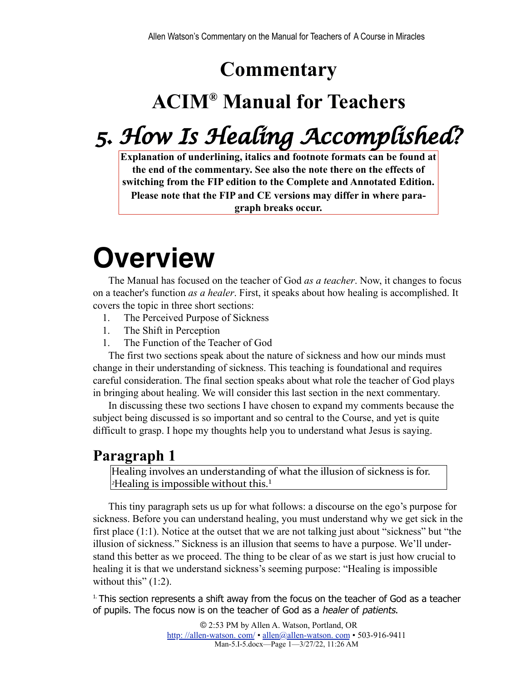## **Commentary**

# **ACIM® Manual for Teachers**

# *5. How Is Healing Accomplished?*

**Explanation of underlining, italics and footnote formats can be found at the end of the commentary. See also the note there on the effects of switching from the FIP edition to the Complete and Annotated Edition. Please note that the FIP and CE versions may differ in where paragraph breaks occur.**

# **Overview**

The Manual has focused on the teacher of God *as a teacher*. Now, it changes to focus on a teacher's function *as a healer*. First, it speaks about how healing is accomplished. It covers the topic in three short sections:

- 1. The Perceived Purpose of Sickness
- 1. The Shift in Perception
- 1. The Function of the Teacher of God

The first two sections speak about the nature of sickness and how our minds must change in their understanding of sickness. This teaching is foundational and requires careful consideration. The final section speaks about what role the teacher of God plays in bringing about healing. We will consider this last section in the next commentary.

In discussing these two sections I have chosen to expand my comments because the subject being discussed is so important and so central to the Course, and yet is quite difficult to grasp. I hope my thoughts help you to understand what Jesus is saying.

#### **Paragraph 1**

Healing involves an understanding of what the illusion of sickness is for.  $\alpha$ <sup>2</sup>Healing is impossible without this.<sup>1</sup>

<span id="page-0-1"></span>This tiny paragraph sets us up for what follows: a discourse on the ego's purpose for sickness. Before you can understand healing, you must understand why we get sick in the first place (1:1). Notice at the outset that we are not talking just about "sickness" but "the illusion of sickness." Sickness is an illusion that seems to have a purpose. We'll understand this better as we proceed. The thing to be clear of as we start is just how crucial to healing it is that we understand sickness's seeming purpose: "Healing is impossible without this"  $(1:2)$ .

<span id="page-0-0"></span> $<sup>1</sup>$ . This section represents a shift away from the focus on the teacher of God as a teacher</sup> of pupils. The focus now is on the teacher of God as a healer of patients.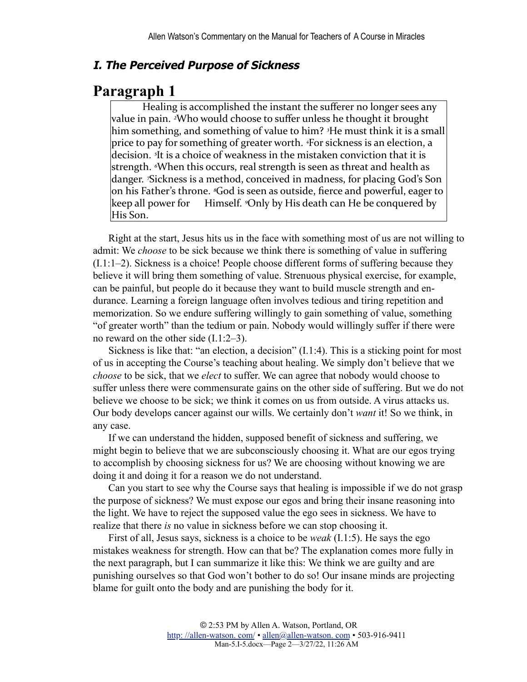#### **I. The Perceived Purpose of Sickness**

#### **Paragraph 1**

Healing is accomplished the instant the sufferer no longer sees any value in pain. <sup>2</sup>Who would choose to suffer unless he thought it brought him something, and something of value to him? <sup>3</sup>He must think it is a small price to pay for something of greater worth. <sup>4</sup>For sickness is an election, a decision. <sup>5</sup>It is a choice of weakness in the mistaken conviction that it is strength. *«When this occurs, real strength is seen as threat and health as* danger. *<sup>Sickness* is a method, conceived in madness, for placing God's Son</sup> on his Father's throne. <sup>*s*God is seen as outside, fierce and powerful, eager to</sup> keep all power for Himself. *Ponly* by His death can He be conquered by His Son.

Right at the start, Jesus hits us in the face with something most of us are not willing to admit: We *choose* to be sick because we think there is something of value in suffering (I.1:1–2). Sickness is a choice! People choose different forms of suffering because they believe it will bring them something of value. Strenuous physical exercise, for example, can be painful, but people do it because they want to build muscle strength and endurance. Learning a foreign language often involves tedious and tiring repetition and memorization. So we endure suffering willingly to gain something of value, something "of greater worth" than the tedium or pain. Nobody would willingly suffer if there were no reward on the other side (I.1:2–3).

Sickness is like that: "an election, a decision" (I.1:4). This is a sticking point for most of us in accepting the Course's teaching about healing. We simply don't believe that we *choose* to be sick, that we *elect* to suffer. We can agree that nobody would choose to suffer unless there were commensurate gains on the other side of suffering. But we do not believe we choose to be sick; we think it comes on us from outside. A virus attacks us. Our body develops cancer against our wills. We certainly don't *want* it! So we think, in any case.

If we can understand the hidden, supposed benefit of sickness and suffering, we might begin to believe that we are subconsciously choosing it. What are our egos trying to accomplish by choosing sickness for us? We are choosing without knowing we are doing it and doing it for a reason we do not understand.

Can you start to see why the Course says that healing is impossible if we do not grasp the purpose of sickness? We must expose our egos and bring their insane reasoning into the light. We have to reject the supposed value the ego sees in sickness. We have to realize that there *is* no value in sickness before we can stop choosing it.

First of all, Jesus says, sickness is a choice to be *weak* (I.1:5). He says the ego mistakes weakness for strength. How can that be? The explanation comes more fully in the next paragraph, but I can summarize it like this: We think we are guilty and are punishing ourselves so that God won't bother to do so! Our insane minds are projecting blame for guilt onto the body and are punishing the body for it.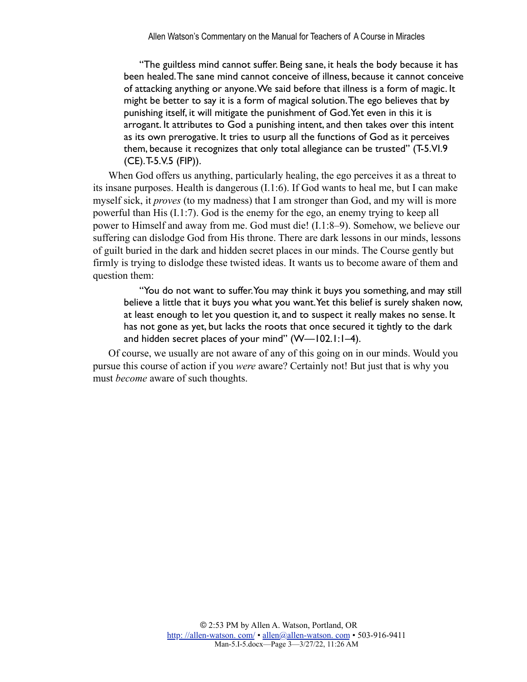"The guiltless mind cannot suffer. Being sane, it heals the body because it has been healed. The sane mind cannot conceive of illness, because it cannot conceive of attacking anything or anyone. We said before that illness is a form of magic. It might be better to say it is a form of magical solution. The ego believes that by punishing itself, it will mitigate the punishment of God. Yet even in this it is arrogant. It attributes to God a punishing intent, and then takes over this intent as its own prerogative. It tries to usurp all the functions of God as it perceives them, because it recognizes that only total allegiance can be trusted" (T-5.VI.9 (CE). T-5.V.5 (FIP)).

When God offers us anything, particularly healing, the ego perceives it as a threat to its insane purposes. Health is dangerous (I.1:6). If God wants to heal me, but I can make myself sick, it *proves* (to my madness) that I am stronger than God, and my will is more powerful than His (I.1:7). God is the enemy for the ego, an enemy trying to keep all power to Himself and away from me. God must die! (I.1:8–9). Somehow, we believe our suffering can dislodge God from His throne. There are dark lessons in our minds, lessons of guilt buried in the dark and hidden secret places in our minds. The Course gently but firmly is trying to dislodge these twisted ideas. It wants us to become aware of them and question them:

"You do not want to suffer. You may think it buys you something, and may still believe a little that it buys you what you want. Yet this belief is surely shaken now, at least enough to let you question it, and to suspect it really makes no sense. It has not gone as yet, but lacks the roots that once secured it tightly to the dark and hidden secret places of your mind" (W—102.1:1–4).

Of course, we usually are not aware of any of this going on in our minds. Would you pursue this course of action if you *were* aware? Certainly not! But just that is why you must *become* aware of such thoughts.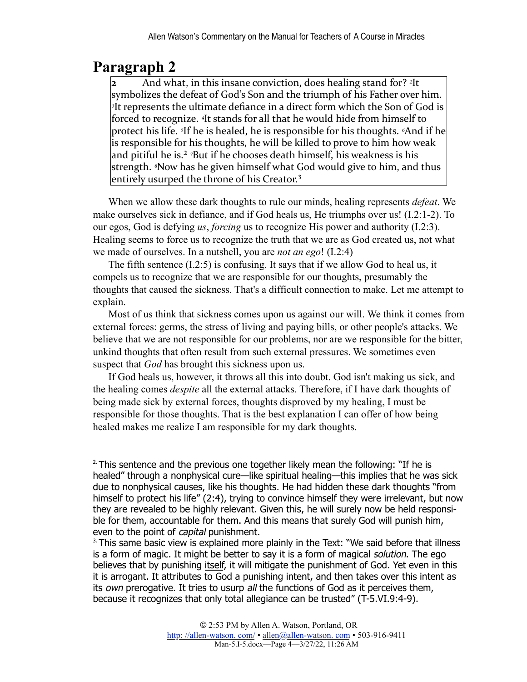### **Paragraph 2**

**2** And what, in this insane conviction, does healing stand for? <sup>2</sup>It symbolizes the defeat of God's Son and the triumph of his Father over him. <sup>3</sup>It represents the ultimate defiance in a direct form which the Son of God is forced to recognize. <sup>4</sup>It stands for all that he would hide from himself to protect his life. <sup>*s*</sup>If he is healed, he is responsible for his thoughts. *<sup>6</sup>And* if he is responsible for his thoughts, he will be killed to prove to him how weak and pitiful he is.<sup>2</sup> <sup>7</sup>But if he chooses death himself, his weakness is his strength. <sup>*§*Now has he given himself what God would give to him, and thus</sup> entirely usurped the throne of his Creator.<sup>3</sup>

<span id="page-3-3"></span><span id="page-3-2"></span>When we allow these dark thoughts to rule our minds, healing represents *defeat*. We make ourselves sick in defiance, and if God heals us, He triumphs over us! (I.2:1-2). To our egos, God is defying *us*, *forcing* us to recognize His power and authority (I.2:3). Healing seems to force us to recognize the truth that we are as God created us, not what we made of ourselves. In a nutshell, you are *not an ego*! (I.2:4)

The fifth sentence (I.2:5) is confusing. It says that if we allow God to heal us, it compels us to recognize that we are responsible for our thoughts, presumably the thoughts that caused the sickness. That's a difficult connection to make. Let me attempt to explain.

Most of us think that sickness comes upon us against our will. We think it comes from external forces: germs, the stress of living and paying bills, or other people's attacks. We believe that we are not responsible for our problems, nor are we responsible for the bitter, unkind thoughts that often result from such external pressures. We sometimes even suspect that *God* has brought this sickness upon us.

If God heals us, however, it throws all this into doubt. God isn't making us sick, and the healing comes *despite* all the external attacks. Therefore, if I have dark thoughts of being made sick by external forces, thoughts disproved by my healing, I must be responsible for those thoughts. That is the best explanation I can offer of how being healed makes me realize I am responsible for my dark thoughts.

<span id="page-3-0"></span> $2$ . This sentence and the previous one together likely mean the following: "If he is healed" through a nonphysical cure—like spiritual healing—this implies that he was sick due to nonphysical causes, like his thoughts. He had hidden these dark thoughts "from himself to protect his life" (2:4), trying to convince himself they were irrelevant, but now they are revealed to be highly relevant. Given this, he will surely now be held responsible for them, accountable for them. And this means that surely God will punish him, even to the point of *capital* punishment.

<span id="page-3-1"></span> $3.$  This same basic view is explained more plainly in the Text: "We said before that illness is a form of magic. It might be better to say it is a form of magical solution. The ego believes that by punishing itself, it will mitigate the punishment of God. Yet even in this it is arrogant. It attributes to God a punishing intent, and then takes over this intent as its own prerogative. It tries to usurp all the functions of God as it perceives them, because it recognizes that only total allegiance can be trusted" (T-5.VI.9:4-9).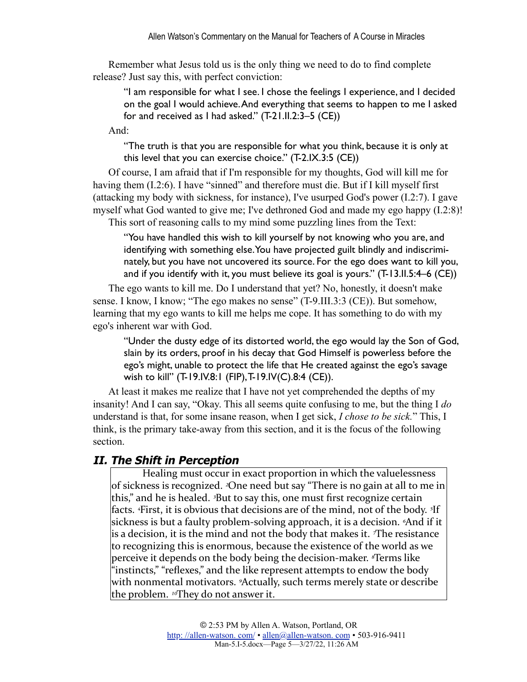Remember what Jesus told us is the only thing we need to do to find complete release? Just say this, with perfect conviction:

"I am responsible for what I see. I chose the feelings I experience, and I decided on the goal I would achieve. And everything that seems to happen to me I asked for and received as I had asked." (T-21.II.2:3–5 (CE))

And:

"The truth is that you are responsible for what you think, because it is only at this level that you can exercise choice." (T-2.IX.3:5 (CE))

Of course, I am afraid that if I'm responsible for my thoughts, God will kill me for having them (I.2:6). I have "sinned" and therefore must die. But if I kill myself first (attacking my body with sickness, for instance), I've usurped God's power (I.2:7). I gave myself what God wanted to give me; I've dethroned God and made my ego happy (I.2:8)!

This sort of reasoning calls to my mind some puzzling lines from the Text:

"You have handled this wish to kill yourself by not knowing who you are, and identifying with something else. You have projected guilt blindly and indiscriminately, but you have not uncovered its source. For the ego does want to kill you, and if you identify with it, you must believe its goal is yours." (T-13.II.5:4–6 (CE))

The ego wants to kill me. Do I understand that yet? No, honestly, it doesn't make sense. I know, I know; "The ego makes no sense" (T-9.III.3:3 (CE)). But somehow, learning that my ego wants to kill me helps me cope. It has something to do with my ego's inherent war with God.

"Under the dusty edge of its distorted world, the ego would lay the Son of God, slain by its orders, proof in his decay that God Himself is powerless before the ego's might, unable to protect the life that He created against the ego's savage wish to kill" (T-19.IV.8:1 (FIP), T-19.IV(C).8:4 (CE)).

At least it makes me realize that I have not yet comprehended the depths of my insanity! And I can say, "Okay. This all seems quite confusing to me, but the thing I *do* understand is that, for some insane reason, when I get sick, *I chose to be sick.*" This, I think, is the primary take-away from this section, and it is the focus of the following section.

#### **II. The Shift in Perception**

Healing must occur in exact proportion in which the valuelessness of sickness is recognized. *<sup>2</sup>One need* but say "There is no gain at all to me in this," and he is healed. <sup>3</sup>But to say this, one must first recognize certain facts. <sup>4</sup>First, it is obvious that decisions are of the mind, not of the body. <sup>5</sup>If sickness is but a faulty problem-solving approach, it is a decision. <sup>*«And if it*</sup> is a decision, it is the mind and not the body that makes it. *The resistance* to recognizing this is enormous, because the existence of the world as we perceive it depends on the body being the decision-maker. *<sup><i>s*</sup>Terms like</sup> "instincts," "reflexes," and the like represent attempts to endow the body with nonmental motivators. <sup>9</sup>Actually, such terms merely state or describe the problem. <sup>10</sup>They do not answer it.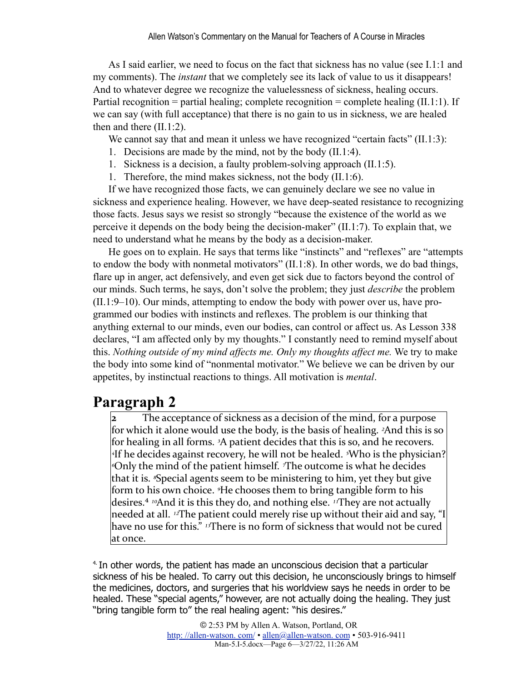As I said earlier, we need to focus on the fact that sickness has no value (see I.1:1 and my comments). The *instant* that we completely see its lack of value to us it disappears! And to whatever degree we recognize the valuelessness of sickness, healing occurs. Partial recognition = partial healing; complete recognition = complete healing  $(II.1:1)$ . If we can say (with full acceptance) that there is no gain to us in sickness, we are healed then and there (II.1:2).

We cannot say that and mean it unless we have recognized "certain facts"  $(II.1:3)$ :

- 1. Decisions are made by the mind, not by the body (II.1:4).
- 1. Sickness is a decision, a faulty problem-solving approach (II.1:5).
- 1. Therefore, the mind makes sickness, not the body (II.1:6).

If we have recognized those facts, we can genuinely declare we see no value in sickness and experience healing. However, we have deep-seated resistance to recognizing those facts. Jesus says we resist so strongly "because the existence of the world as we perceive it depends on the body being the decision-maker" (II.1:7). To explain that, we need to understand what he means by the body as a decision-maker.

He goes on to explain. He says that terms like "instincts" and "reflexes" are "attempts to endow the body with nonmetal motivators" (II.1:8). In other words, we do bad things, flare up in anger, act defensively, and even get sick due to factors beyond the control of our minds. Such terms, he says, don't solve the problem; they just *describe* the problem (II.1:9–10). Our minds, attempting to endow the body with power over us, have programmed our bodies with instincts and reflexes. The problem is our thinking that anything external to our minds, even our bodies, can control or affect us. As Lesson 338 declares, "I am affected only by my thoughts." I constantly need to remind myself about this. *Nothing outside of my mind affects me. Only my thoughts affect me.* We try to make the body into some kind of "nonmental motivator." We believe we can be driven by our appetites, by instinctual reactions to things. All motivation is *mental*.

### **Paragraph 2**

The acceptance of sickness as a decision of the mind, for a purpose for which it alone would use the body, is the basis of healing. *<sup>2</sup>And* this is so for healing in all forms. <sup>3</sup>A patient decides that this is so, and he recovers. <sup>4</sup>If he decides against recovery, he will not be healed. <sup>*5*</sup>Who is the physician? *«*Only the mind of the patient himself. *<sup>The outcome* is what he decides</sup> that it is. *<sup>8</sup>Special agents* seem to be ministering to him, yet they but give form to his own choice. <sup>9</sup>He chooses them to bring tangible form to his desires.<sup>4</sup> <sup>10</sup>And it is this they do, and nothing else. <sup>11</sup>They are not actually needed at all. <sup>12</sup>The patient could merely rise up without their aid and say, "I have no use for this." <sup>13</sup>There is no form of sickness that would not be cured at once.

<span id="page-5-1"></span><span id="page-5-0"></span>[4.I](#page-5-1)n other words, the patient has made an unconscious decision that a particular sickness of his be healed. To carry out this decision, he unconsciously brings to himself the medicines, doctors, and surgeries that his worldview says he needs in order to be healed. These "special agents," however, are not actually doing the healing. They just "bring tangible form to" the real healing agent: "his desires."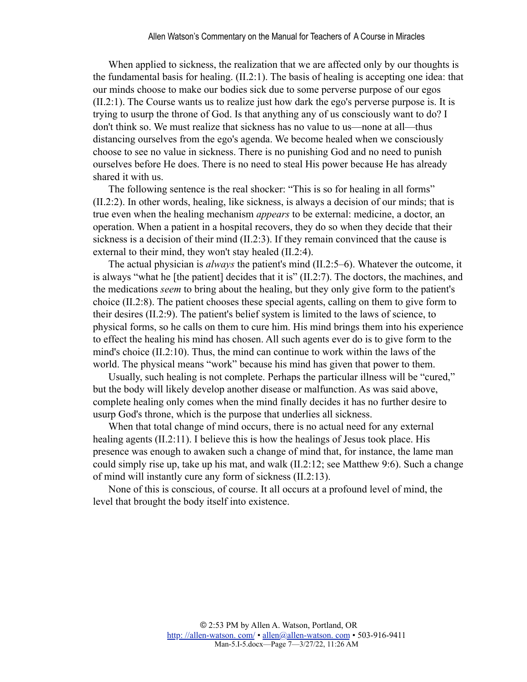When applied to sickness, the realization that we are affected only by our thoughts is the fundamental basis for healing. (II.2:1). The basis of healing is accepting one idea: that our minds choose to make our bodies sick due to some perverse purpose of our egos (II.2:1). The Course wants us to realize just how dark the ego's perverse purpose is. It is trying to usurp the throne of God. Is that anything any of us consciously want to do? I don't think so. We must realize that sickness has no value to us—none at all—thus distancing ourselves from the ego's agenda. We become healed when we consciously choose to see no value in sickness. There is no punishing God and no need to punish ourselves before He does. There is no need to steal His power because He has already shared it with us.

The following sentence is the real shocker: "This is so for healing in all forms" (II.2:2). In other words, healing, like sickness, is always a decision of our minds; that is true even when the healing mechanism *appears* to be external: medicine, a doctor, an operation. When a patient in a hospital recovers, they do so when they decide that their sickness is a decision of their mind (II.2:3). If they remain convinced that the cause is external to their mind, they won't stay healed (II.2:4).

The actual physician is *always* the patient's mind (II.2:5–6). Whatever the outcome, it is always "what he [the patient] decides that it is" (II.2:7). The doctors, the machines, and the medications *seem* to bring about the healing, but they only give form to the patient's choice (II.2:8). The patient chooses these special agents, calling on them to give form to their desires (II.2:9). The patient's belief system is limited to the laws of science, to physical forms, so he calls on them to cure him. His mind brings them into his experience to effect the healing his mind has chosen. All such agents ever do is to give form to the mind's choice (II.2:10). Thus, the mind can continue to work within the laws of the world. The physical means "work" because his mind has given that power to them.

Usually, such healing is not complete. Perhaps the particular illness will be "cured," but the body will likely develop another disease or malfunction. As was said above, complete healing only comes when the mind finally decides it has no further desire to usurp God's throne, which is the purpose that underlies all sickness.

When that total change of mind occurs, there is no actual need for any external healing agents (II.2:11). I believe this is how the healings of Jesus took place. His presence was enough to awaken such a change of mind that, for instance, the lame man could simply rise up, take up his mat, and walk (II.2:12; see Matthew 9:6). Such a change of mind will instantly cure any form of sickness (II.2:13).

None of this is conscious, of course. It all occurs at a profound level of mind, the level that brought the body itself into existence.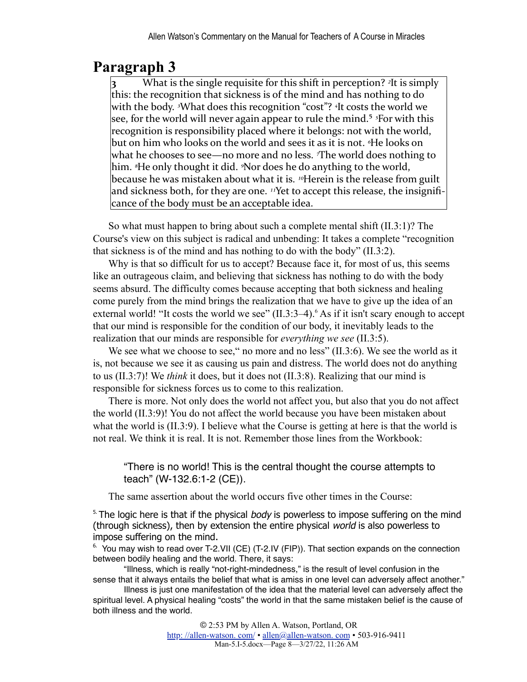## **Paragraph 3**

<span id="page-7-2"></span>What is the single requisite for this shift in perception?  $\frac{2}{1}$ t is simply this: the recognition that sickness is of the mind and has nothing to do with the body. <sup>3</sup>What does this recognition "cost"? <sup>4</sup>It costs the world we see, for the world will never again appear to rule the mind.<sup>5</sup> <sup>5</sup>For with this recognition is responsibility placed where it belongs: not with the world, but on him who looks on the world and sees it as it is not. <sup>6</sup>He looks on what he chooses to see—no more and no less. *The world does nothing to* him. <sup>*\**He only thought it did. *<sup>\*</sup>Nor* does he do anything to the world,</sup> because he was mistaken about what it is. <sup>10</sup>Herein is the release from guilt and sickness both, for they are one. <sup>11</sup>Yet to accept this release, the insignificance of the body must be an acceptable idea.

So what must happen to bring about such a complete mental shift (II.3:1)? The Course's view on this subject is radical and unbending: It takes a complete "recognition that sickness is of the mind and has nothing to do with the body" (II.3:2).

Why is that so difficult for us to accept? Because face it, for most of us, this seems like an outrageous claim, and believing that sickness has nothing to do with the body seems absurd. The difficulty comes because accepting that both sickness and healing come purely from the mind brings the realization that we have to give up the idea of an external world! "It costs the world we see" (II.3:3–4). As if it isn't scary enough to accept that our mind is responsible for the condition of our body, it inevitably leads to the realization that our minds are responsible for *everything we see* (II.3:5).

<span id="page-7-3"></span>We see what we choose to see," no more and no less" (II.3:6). We see the world as it is, not because we see it as causing us pain and distress. The world does not do anything to us (II.3:7)! We *think* it does, but it does not (II.3:8). Realizing that our mind is responsible for sickness forces us to come to this realization.

There is more. Not only does the world not affect you, but also that you do not affect the world (II.3:9)! You do not affect the world because you have been mistaken about what the world is (II.3:9). I believe what the Course is getting at here is that the world is not real. We think it is real. It is not. Remember those lines from the Workbook:

"There is no world! This is the central thought the course attempts to teach" (W-132.6:1-2 (CE)).

The same assertion about the world occurs five other times in the Course:

<span id="page-7-0"></span> $5.$  The logic here is that if the physical *body* is powerless to impose suffering on the mind (through sickness), then by extension the entire physical world is also powerless to impose suffering on the mind.

<span id="page-7-1"></span> $6.$  You may wish to read over T-2.VII (CE) (T-2.IV (FIP)). That section expands on the connection between bodily healing and the world. There, it says:

"Illness, which is really "not-right-mindedness," is the result of level confusion in the sense that it always entails the belief that what is amiss in one level can adversely affect another."

Illness is just one manifestation of the idea that the material level can adversely affect the spiritual level. A physical healing "costs" the world in that the same mistaken belief is the cause of both illness and the world.

> © 2:53 PM by Allen A. Watson, Portland, OR [http: //allen-watson. com/](http://homepage.mac.com/allen_a_watson/ACIM_Workbook_Groups/) • [allen@allen-watson. com](mailto:allen@unityportland.org) • 503-916-9411 Man-5.I-5.docx—Page 8—3/27/22, 11:26 AM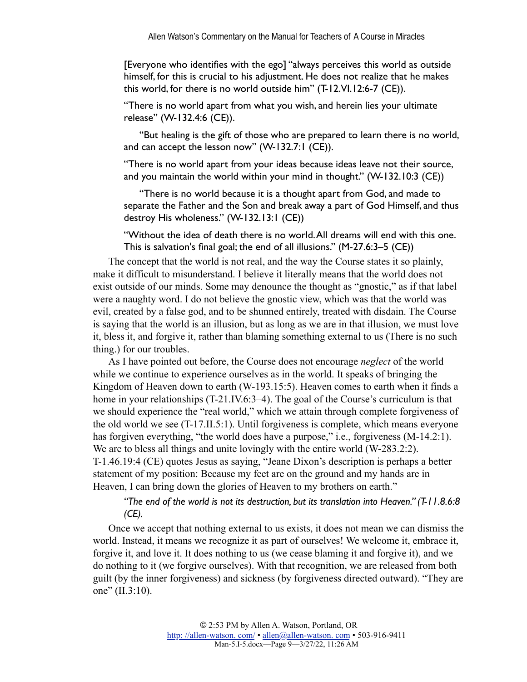[Everyone who identifies with the ego] "always perceives this world as outside himself, for this is crucial to his adjustment. He does not realize that he makes this world, for there is no world outside him" (T-12.VI.12:6-7 (CE)).

"There is no world apart from what you wish, and herein lies your ultimate release" (W-132.4:6 (CE)).

"But healing is the gift of those who are prepared to learn there is no world, and can accept the lesson now" (W-132.7:1 (CE)).

"There is no world apart from your ideas because ideas leave not their source, and you maintain the world within your mind in thought." (W-132.10:3 (CE))

"There is no world because it is a thought apart from God, and made to separate the Father and the Son and break away a part of God Himself, and thus destroy His wholeness." (W-132.13:1 (CE))

"Without the idea of death there is no world. All dreams will end with this one. This is salvation's final goal; the end of all illusions." (M-27.6:3–5 (CE))

The concept that the world is not real, and the way the Course states it so plainly, make it difficult to misunderstand. I believe it literally means that the world does not exist outside of our minds. Some may denounce the thought as "gnostic," as if that label were a naughty word. I do not believe the gnostic view, which was that the world was evil, created by a false god, and to be shunned entirely, treated with disdain. The Course is saying that the world is an illusion, but as long as we are in that illusion, we must love it, bless it, and forgive it, rather than blaming something external to us (There is no such thing.) for our troubles.

As I have pointed out before, the Course does not encourage *neglect* of the world while we continue to experience ourselves as in the world. It speaks of bringing the Kingdom of Heaven down to earth (W-193.15:5). Heaven comes to earth when it finds a home in your relationships (T-21.IV.6:3–4). The goal of the Course's curriculum is that we should experience the "real world," which we attain through complete forgiveness of the old world we see (T-17.II.5:1). Until forgiveness is complete, which means everyone has forgiven everything, "the world does have a purpose," i.e., forgiveness (M-14.2:1). We are to bless all things and unite lovingly with the entire world (W-283.2:2). T-1.46.19:4 (CE) quotes Jesus as saying, "Jeane Dixon's description is perhaps a better statement of my position: Because my feet are on the ground and my hands are in Heaven, I can bring down the glories of Heaven to my brothers on earth."

*"The end of the world is not its destruction, but its translation into Heaven." (T-11.8.6:8 (CE).*

Once we accept that nothing external to us exists, it does not mean we can dismiss the world. Instead, it means we recognize it as part of ourselves! We welcome it, embrace it, forgive it, and love it. It does nothing to us (we cease blaming it and forgive it), and we do nothing to it (we forgive ourselves). With that recognition, we are released from both guilt (by the inner forgiveness) and sickness (by forgiveness directed outward). "They are one" (II.3:10).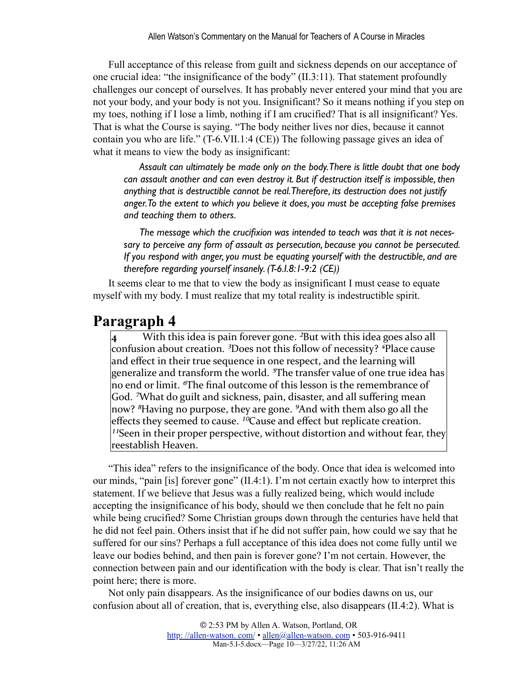Full acceptance of this release from guilt and sickness depends on our acceptance of one crucial idea: "the insignificance of the body" (II.3:11). That statement profoundly challenges our concept of ourselves. It has probably never entered your mind that you are not your body, and your body is not you. Insignificant? So it means nothing if you step on my toes, nothing if I lose a limb, nothing if I am crucified? That is all insignificant? Yes. That is what the Course is saying. "The body neither lives nor dies, because it cannot contain you who are life." (T-6.VII.1:4 (CE)) The following passage gives an idea of what it means to view the body as insignificant:

*Assault can ultimately be made only on the body. There is little doubt that one body can assault another and can even destroy it. But if destruction itself is impossible, then anything that is destructible cannot be real. Therefore, its destruction does not justify anger. To the extent to which you believe it does, you must be accepting false premises and teaching them to others.*

*The message which the crucifixion was intended to teach was that it is not necessary to perceive any form of assault as persecution, because you cannot be persecuted. If you respond with anger, you must be equating yourself with the destructible, and are therefore regarding yourself insanely. (T-6.I.8:1-9:2 (CE))*

It seems clear to me that to view the body as insignificant I must cease to equate myself with my body. I must realize that my total reality is indestructible spirit.

#### **Paragraph 4**

With this idea is pain forever gone. <sup>2</sup>But with this idea goes also all confusion about creation. <sup>3</sup>Does not this follow of necessity? <sup>4</sup>Place cause and effect in their true sequence in one respect, and the learning will generalize and transform the world. <sup>5</sup>The transfer value of one true idea has no end or limit. <sup>*o*</sup>The final outcome of this lesson is the remembrance of God. <sup>7</sup>What do guilt and sickness, pain, disaster, and all suffering mean now? <sup>8</sup>Having no purpose, they are gone. <sup>9</sup>And with them also go all the effects they seemed to cause. <sup>10</sup>Cause and effect but replicate creation. <sup>11</sup>Seen in their proper perspective, without distortion and without fear, they reestablish Heaven.

"This idea" refers to the insignificance of the body. Once that idea is welcomed into our minds, "pain [is] forever gone" (II.4:1). I'm not certain exactly how to interpret this statement. If we believe that Jesus was a fully realized being, which would include accepting the insignificance of his body, should we then conclude that he felt no pain while being crucified? Some Christian groups down through the centuries have held that he did not feel pain. Others insist that if he did not suffer pain, how could we say that he suffered for our sins? Perhaps a full acceptance of this idea does not come fully until we leave our bodies behind, and then pain is forever gone? I'm not certain. However, the connection between pain and our identification with the body is clear. That isn't really the point here; there is more.

Not only pain disappears. As the insignificance of our bodies dawns on us, our confusion about all of creation, that is, everything else, also disappears (II.4:2). What is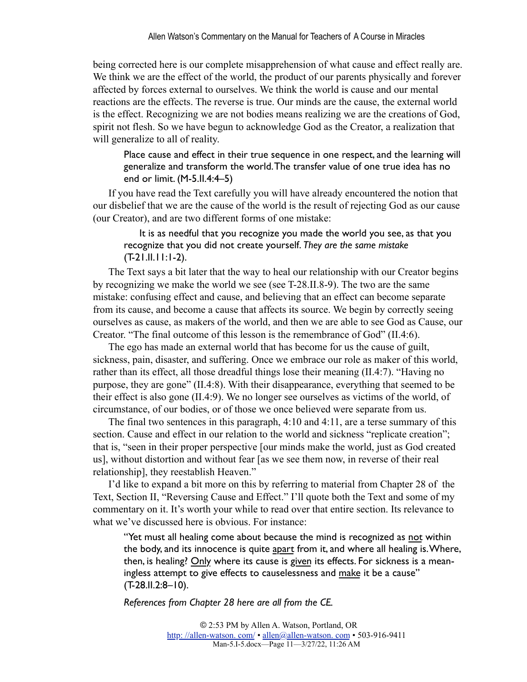being corrected here is our complete misapprehension of what cause and effect really are. We think we are the effect of the world, the product of our parents physically and forever affected by forces external to ourselves. We think the world is cause and our mental reactions are the effects. The reverse is true. Our minds are the cause, the external world is the effect. Recognizing we are not bodies means realizing we are the creations of God, spirit not flesh. So we have begun to acknowledge God as the Creator, a realization that will generalize to all of reality.

Place cause and effect in their true sequence in one respect, and the learning will generalize and transform the world. The transfer value of one true idea has no end or limit. (M-5.II.4:4–5)

If you have read the Text carefully you will have already encountered the notion that our disbelief that we are the cause of the world is the result of rejecting God as our cause (our Creator), and are two different forms of one mistake:

It is as needful that you recognize you made the world you see, as that you recognize that you did not create yourself. *They are the same mistake*  $(T-21.I.I.I.I.1-2).$ 

The Text says a bit later that the way to heal our relationship with our Creator begins by recognizing we make the world we see (see T-28.II.8-9). The two are the same mistake: confusing effect and cause, and believing that an effect can become separate from its cause, and become a cause that affects its source. We begin by correctly seeing ourselves as cause, as makers of the world, and then we are able to see God as Cause, our Creator. "The final outcome of this lesson is the remembrance of God" (II.4:6).

The ego has made an external world that has become for us the cause of guilt, sickness, pain, disaster, and suffering. Once we embrace our role as maker of this world, rather than its effect, all those dreadful things lose their meaning (II.4:7). "Having no purpose, they are gone" (II.4:8). With their disappearance, everything that seemed to be their effect is also gone (II.4:9). We no longer see ourselves as victims of the world, of circumstance, of our bodies, or of those we once believed were separate from us.

The final two sentences in this paragraph, 4:10 and 4:11, are a terse summary of this section. Cause and effect in our relation to the world and sickness "replicate creation"; that is, "seen in their proper perspective [our minds make the world, just as God created us], without distortion and without fear [as we see them now, in reverse of their real relationship], they reestablish Heaven."

I'd like to expand a bit more on this by referring to material from Chapter 28 of the Text, Section II, "Reversing Cause and Effect." I'll quote both the Text and some of my commentary on it. It's worth your while to read over that entire section. Its relevance to what we've discussed here is obvious. For instance:

"Yet must all healing come about because the mind is recognized as not within the body, and its innocence is quite apart from it, and where all healing is. Where, then, is healing? Only where its cause is given its effects. For sickness is a meaningless attempt to give effects to causelessness and make it be a cause" (T-28.II.2:8–10).

*References from Chapter 28 here are all from the CE.*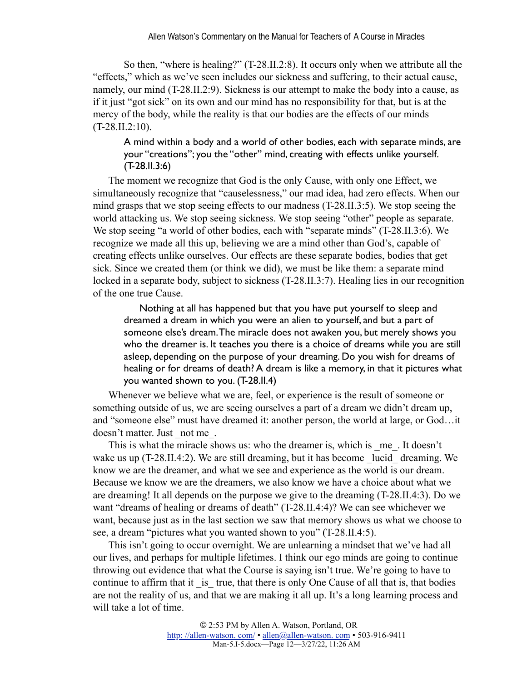So then, "where is healing?" (T-28.II.2:8). It occurs only when we attribute all the "effects," which as we've seen includes our sickness and suffering, to their actual cause, namely, our mind (T-28.II.2:9). Sickness is our attempt to make the body into a cause, as if it just "got sick" on its own and our mind has no responsibility for that, but is at the mercy of the body, while the reality is that our bodies are the effects of our minds  $(T-28.II.2:10)$ .

A mind within a body and a world of other bodies, each with separate minds, are your "creations"; you the "other" mind, creating with effects unlike yourself. (T-28.II.3:6)

The moment we recognize that God is the only Cause, with only one Effect, we simultaneously recognize that "causelessness," our mad idea, had zero effects. When our mind grasps that we stop seeing effects to our madness (T-28.II.3:5). We stop seeing the world attacking us. We stop seeing sickness. We stop seeing "other" people as separate. We stop seeing "a world of other bodies, each with "separate minds" (T-28.II.3:6). We recognize we made all this up, believing we are a mind other than God's, capable of creating effects unlike ourselves. Our effects are these separate bodies, bodies that get sick. Since we created them (or think we did), we must be like them: a separate mind locked in a separate body, subject to sickness (T-28.II.3:7). Healing lies in our recognition of the one true Cause.

Nothing at all has happened but that you have put yourself to sleep and dreamed a dream in which you were an alien to yourself, and but a part of someone else's dream. The miracle does not awaken you, but merely shows you who the dreamer is. It teaches you there is a choice of dreams while you are still asleep, depending on the purpose of your dreaming. Do you wish for dreams of healing or for dreams of death? A dream is like a memory, in that it pictures what you wanted shown to you. (T-28.II.4)

Whenever we believe what we are, feel, or experience is the result of someone or something outside of us, we are seeing ourselves a part of a dream we didn't dream up, and "someone else" must have dreamed it: another person, the world at large, or God…it doesn't matter. Just not me.

This is what the miracle shows us: who the dreamer is, which is \_me\_. It doesn't wake us up  $(T-28.II.4:2)$ . We are still dreaming, but it has become lucid dreaming. We know we are the dreamer, and what we see and experience as the world is our dream. Because we know we are the dreamers, we also know we have a choice about what we are dreaming! It all depends on the purpose we give to the dreaming (T-28.II.4:3). Do we want "dreams of healing or dreams of death" (T-28.II.4:4)? We can see whichever we want, because just as in the last section we saw that memory shows us what we choose to see, a dream "pictures what you wanted shown to you" (T-28.II.4:5).

This isn't going to occur overnight. We are unlearning a mindset that we've had all our lives, and perhaps for multiple lifetimes. I think our ego minds are going to continue throwing out evidence that what the Course is saying isn't true. We're going to have to continue to affirm that it is true, that there is only One Cause of all that is, that bodies are not the reality of us, and that we are making it all up. It's a long learning process and will take a lot of time.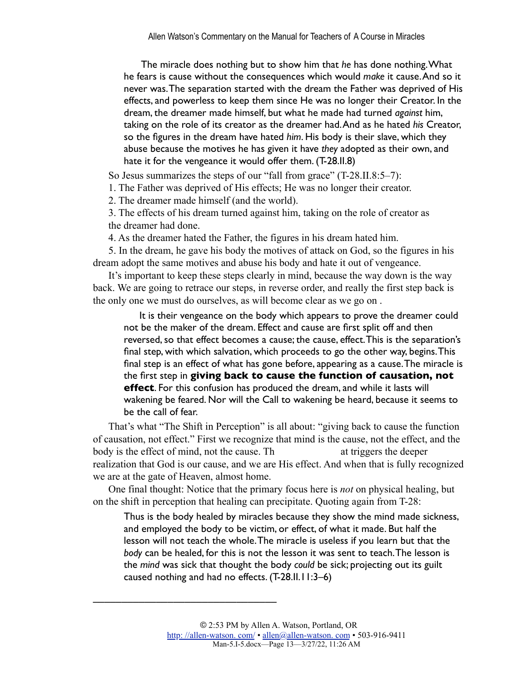The miracle does nothing but to show him that *he* has done nothing. What he fears is cause without the consequences which would *make* it cause. And so it never was. The separation started with the dream the Father was deprived of His effects, and powerless to keep them since He was no longer their Creator. In the dream, the dreamer made himself, but what he made had turned *against* him, taking on the role of its creator as the dreamer had. And as he hated *his* Creator, so the figures in the dream have hated *him*. His body is their slave, which they abuse because the motives he has given it have *they* adopted as their own, and hate it for the vengeance it would offer them. (T-28.II.8)

So Jesus summarizes the steps of our "fall from grace" (T-28.II.8:5–7):

1. The Father was deprived of His effects; He was no longer their creator.

2. The dreamer made himself (and the world).

––––––––––––––––––––––––––––––––

3. The effects of his dream turned against him, taking on the role of creator as the dreamer had done.

4. As the dreamer hated the Father, the figures in his dream hated him.

5. In the dream, he gave his body the motives of attack on God, so the figures in his dream adopt the same motives and abuse his body and hate it out of vengeance.

It's important to keep these steps clearly in mind, because the way down is the way back. We are going to retrace our steps, in reverse order, and really the first step back is the only one we must do ourselves, as will become clear as we go on .

It is their vengeance on the body which appears to prove the dreamer could not be the maker of the dream. Effect and cause are first split off and then reversed, so that effect becomes a cause; the cause, effect. This is the separation's final step, with which salvation, which proceeds to go the other way, begins. This final step is an effect of what has gone before, appearing as a cause. The miracle is the first step in **giving back to cause the function of causation, not effect**. For this confusion has produced the dream, and while it lasts will wakening be feared. Nor will the Call to wakening be heard, because it seems to be the call of fear.

That's what "The Shift in Perception" is all about: "giving back to cause the function of causation, not effect." First we recognize that mind is the cause, not the effect, and the body is the effect of mind, not the cause. Th at triggers the deeper realization that God is our cause, and we are His effect. And when that is fully recognized we are at the gate of Heaven, almost home.

One final thought: Notice that the primary focus here is *not* on physical healing, but on the shift in perception that healing can precipitate. Quoting again from T-28:

Thus is the body healed by miracles because they show the mind made sickness, and employed the body to be victim, or effect, of what it made. But half the lesson will not teach the whole. The miracle is useless if you learn but that the *body* can be healed, for this is not the lesson it was sent to teach. The lesson is the *mind* was sick that thought the body *could* be sick; projecting out its guilt caused nothing and had no effects. (T-28.II.11:3–6)